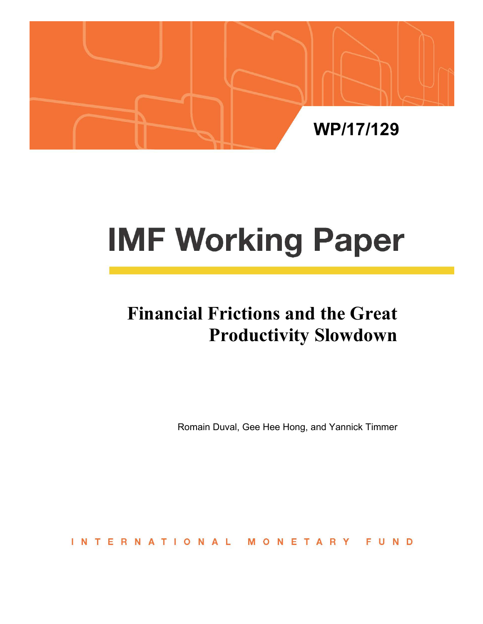

# **IMF Working Paper**

# **Financial Frictions and the Great Productivity Slowdown**

Romain Duval, Gee Hee Hong, and Yannick Timmer

ERNATIONAL INT ONETAR FUND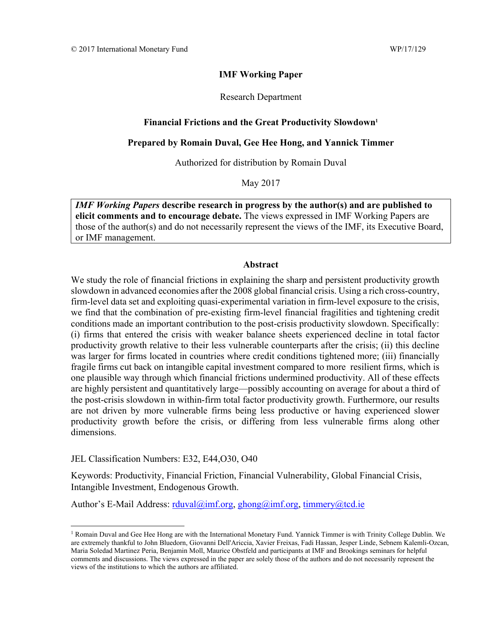#### **IMF Working Paper**

Research Department

#### Financial Frictions and the Great Productivity Slowdown<sup>1</sup>

#### **Prepared by Romain Duval, Gee Hee Hong, and Yannick Timmer**

Authorized for distribution by Romain Duval

May 2017

*IMF Working Papers* **describe research in progress by the author(s) and are published to elicit comments and to encourage debate.** The views expressed in IMF Working Papers are those of the author(s) and do not necessarily represent the views of the IMF, its Executive Board, or IMF management.

#### **Abstract**

We study the role of financial frictions in explaining the sharp and persistent productivity growth slowdown in advanced economies after the 2008 global financial crisis. Using a rich cross-country, firm-level data set and exploiting quasi-experimental variation in firm-level exposure to the crisis, we find that the combination of pre-existing firm-level financial fragilities and tightening credit conditions made an important contribution to the post-crisis productivity slowdown. Specifically: (i) firms that entered the crisis with weaker balance sheets experienced decline in total factor productivity growth relative to their less vulnerable counterparts after the crisis; (ii) this decline was larger for firms located in countries where credit conditions tightened more; (iii) financially fragile firms cut back on intangible capital investment compared to more resilient firms, which is one plausible way through which financial frictions undermined productivity. All of these effects are highly persistent and quantitatively large—possibly accounting on average for about a third of the post-crisis slowdown in within-firm total factor productivity growth. Furthermore, our results are not driven by more vulnerable firms being less productive or having experienced slower productivity growth before the crisis, or differing from less vulnerable firms along other dimensions.

JEL Classification Numbers: E32, E44,O30, O40

Keywords: Productivity, Financial Friction, Financial Vulnerability, Global Financial Crisis, Intangible Investment, Endogenous Growth.

Author's E-Mail Address: rduval@imf.org, ghong@imf.org, timmery@tcd.ie

<sup>&</sup>lt;sup>1</sup> Romain Duval and Gee Hee Hong are with the International Monetary Fund. Yannick Timmer is with Trinity College Dublin. We are extremely thankful to John Bluedorn, Giovanni Dell'Ariccia, Xavier Freixas, Fadi Hassan, Jesper Linde, Sebnem Kalemli-Ozcan, Maria Soledad Martinez Peria, Benjamin Moll, Maurice Obstfeld and participants at IMF and Brookings seminars for helpful comments and discussions. The views expressed in the paper are solely those of the authors and do not necessarily represent the views of the institutions to which the authors are affiliated.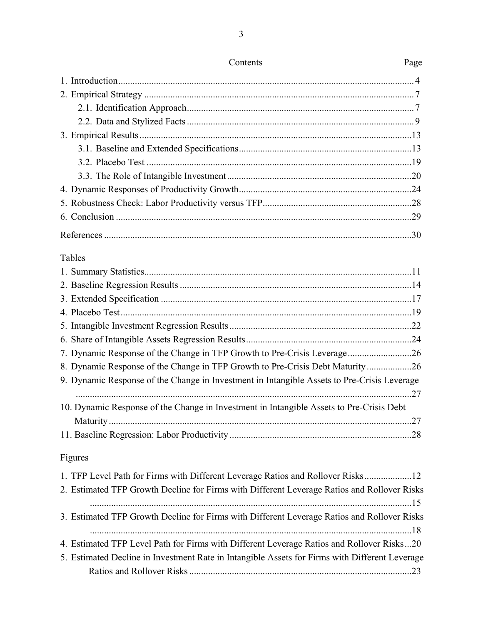| Tables                                                                                         |  |
|------------------------------------------------------------------------------------------------|--|
|                                                                                                |  |
|                                                                                                |  |
|                                                                                                |  |
|                                                                                                |  |
|                                                                                                |  |
|                                                                                                |  |
| 7. Dynamic Response of the Change in TFP Growth to Pre-Crisis Leverage26                       |  |
| 8. Dynamic Response of the Change in TFP Growth to Pre-Crisis Debt Maturity26                  |  |
| 9. Dynamic Response of the Change in Investment in Intangible Assets to Pre-Crisis Leverage    |  |
|                                                                                                |  |
| 10. Dynamic Response of the Change in Investment in Intangible Assets to Pre-Crisis Debt       |  |
|                                                                                                |  |
|                                                                                                |  |
| Figures                                                                                        |  |
| 1. TFP Level Path for Firms with Different Leverage Ratios and Rollover Risks12                |  |
| 2. Estimated TFP Growth Decline for Firms with Different Leverage Ratios and Rollover Risks    |  |
|                                                                                                |  |
| 3. Estimated TFP Growth Decline for Firms with Different Leverage Ratios and Rollover Risks    |  |
|                                                                                                |  |
| 4. Estimated TFP Level Path for Firms with Different Leverage Ratios and Rollover Risks20      |  |
| 5. Estimated Decline in Investment Rate in Intangible Assets for Firms with Different Leverage |  |
|                                                                                                |  |

3

# Contents Page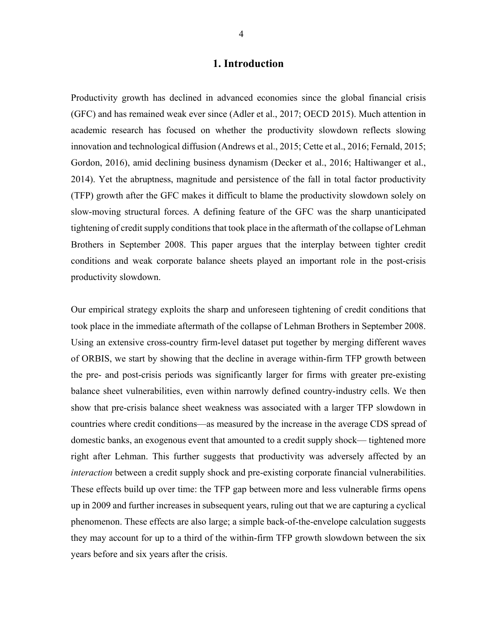#### **1. Introduction**

Productivity growth has declined in advanced economies since the global financial crisis (GFC) and has remained weak ever since (Adler et al., 2017; OECD 2015). Much attention in academic research has focused on whether the productivity slowdown reflects slowing innovation and technological diffusion (Andrews et al., 2015; Cette et al., 2016; Fernald, 2015; Gordon, 2016), amid declining business dynamism (Decker et al., 2016; Haltiwanger et al., 2014). Yet the abruptness, magnitude and persistence of the fall in total factor productivity (TFP) growth after the GFC makes it difficult to blame the productivity slowdown solely on slow-moving structural forces. A defining feature of the GFC was the sharp unanticipated tightening of credit supply conditions that took place in the aftermath of the collapse of Lehman Brothers in September 2008. This paper argues that the interplay between tighter credit conditions and weak corporate balance sheets played an important role in the post-crisis productivity slowdown.

Our empirical strategy exploits the sharp and unforeseen tightening of credit conditions that took place in the immediate aftermath of the collapse of Lehman Brothers in September 2008. Using an extensive cross-country firm-level dataset put together by merging different waves of ORBIS, we start by showing that the decline in average within-firm TFP growth between the pre- and post-crisis periods was significantly larger for firms with greater pre-existing balance sheet vulnerabilities, even within narrowly defined country-industry cells. We then show that pre-crisis balance sheet weakness was associated with a larger TFP slowdown in countries where credit conditions—as measured by the increase in the average CDS spread of domestic banks, an exogenous event that amounted to a credit supply shock— tightened more right after Lehman. This further suggests that productivity was adversely affected by an *interaction* between a credit supply shock and pre-existing corporate financial vulnerabilities. These effects build up over time: the TFP gap between more and less vulnerable firms opens up in 2009 and further increases in subsequent years, ruling out that we are capturing a cyclical phenomenon. These effects are also large; a simple back-of-the-envelope calculation suggests they may account for up to a third of the within-firm TFP growth slowdown between the six years before and six years after the crisis.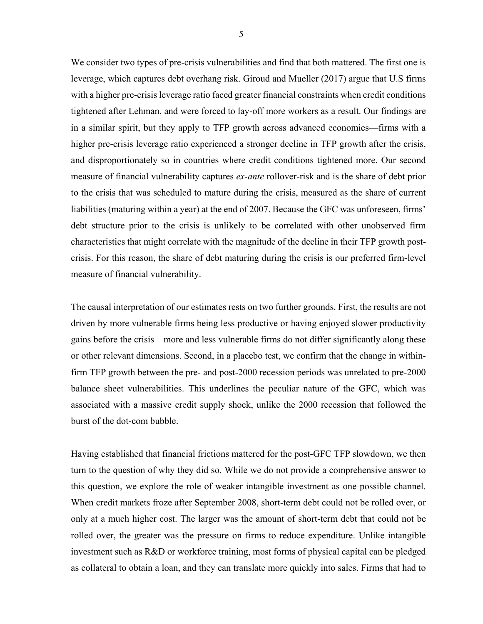We consider two types of pre-crisis vulnerabilities and find that both mattered. The first one is leverage, which captures debt overhang risk. Giroud and Mueller (2017) argue that U.S firms with a higher pre-crisis leverage ratio faced greater financial constraints when credit conditions tightened after Lehman, and were forced to lay-off more workers as a result. Our findings are in a similar spirit, but they apply to TFP growth across advanced economies—firms with a higher pre-crisis leverage ratio experienced a stronger decline in TFP growth after the crisis, and disproportionately so in countries where credit conditions tightened more. Our second measure of financial vulnerability captures *ex-ante* rollover-risk and is the share of debt prior to the crisis that was scheduled to mature during the crisis, measured as the share of current liabilities (maturing within a year) at the end of 2007. Because the GFC was unforeseen, firms' debt structure prior to the crisis is unlikely to be correlated with other unobserved firm characteristics that might correlate with the magnitude of the decline in their TFP growth postcrisis. For this reason, the share of debt maturing during the crisis is our preferred firm-level measure of financial vulnerability.

The causal interpretation of our estimates rests on two further grounds. First, the results are not driven by more vulnerable firms being less productive or having enjoyed slower productivity gains before the crisis—more and less vulnerable firms do not differ significantly along these or other relevant dimensions. Second, in a placebo test, we confirm that the change in withinfirm TFP growth between the pre- and post-2000 recession periods was unrelated to pre-2000 balance sheet vulnerabilities. This underlines the peculiar nature of the GFC, which was associated with a massive credit supply shock, unlike the 2000 recession that followed the burst of the dot-com bubble.

Having established that financial frictions mattered for the post-GFC TFP slowdown, we then turn to the question of why they did so. While we do not provide a comprehensive answer to this question, we explore the role of weaker intangible investment as one possible channel. When credit markets froze after September 2008, short-term debt could not be rolled over, or only at a much higher cost. The larger was the amount of short-term debt that could not be rolled over, the greater was the pressure on firms to reduce expenditure. Unlike intangible investment such as R&D or workforce training, most forms of physical capital can be pledged as collateral to obtain a loan, and they can translate more quickly into sales. Firms that had to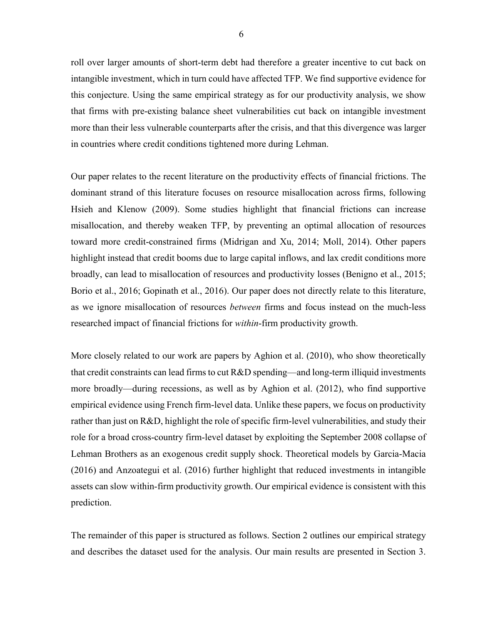roll over larger amounts of short-term debt had therefore a greater incentive to cut back on intangible investment, which in turn could have affected TFP. We find supportive evidence for this conjecture. Using the same empirical strategy as for our productivity analysis, we show that firms with pre-existing balance sheet vulnerabilities cut back on intangible investment more than their less vulnerable counterparts after the crisis, and that this divergence was larger in countries where credit conditions tightened more during Lehman.

Our paper relates to the recent literature on the productivity effects of financial frictions. The dominant strand of this literature focuses on resource misallocation across firms, following Hsieh and Klenow (2009). Some studies highlight that financial frictions can increase misallocation, and thereby weaken TFP, by preventing an optimal allocation of resources toward more credit-constrained firms (Midrigan and Xu, 2014; Moll, 2014). Other papers highlight instead that credit booms due to large capital inflows, and lax credit conditions more broadly, can lead to misallocation of resources and productivity losses (Benigno et al., 2015; Borio et al., 2016; Gopinath et al., 2016). Our paper does not directly relate to this literature, as we ignore misallocation of resources *between* firms and focus instead on the much-less researched impact of financial frictions for *within*-firm productivity growth.

More closely related to our work are papers by Aghion et al. (2010), who show theoretically that credit constraints can lead firms to cut R&D spending—and long-term illiquid investments more broadly—during recessions, as well as by Aghion et al. (2012), who find supportive empirical evidence using French firm-level data. Unlike these papers, we focus on productivity rather than just on R&D, highlight the role of specific firm-level vulnerabilities, and study their role for a broad cross-country firm-level dataset by exploiting the September 2008 collapse of Lehman Brothers as an exogenous credit supply shock. Theoretical models by Garcia-Macia (2016) and Anzoategui et al. (2016) further highlight that reduced investments in intangible assets can slow within-firm productivity growth. Our empirical evidence is consistent with this prediction.

The remainder of this paper is structured as follows. Section 2 outlines our empirical strategy and describes the dataset used for the analysis. Our main results are presented in Section 3.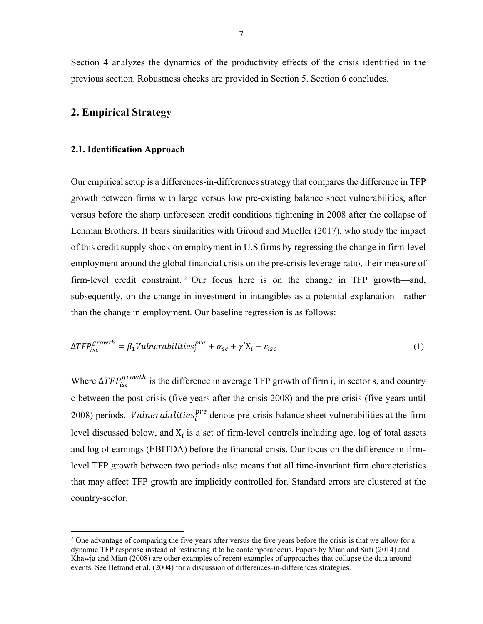Section 4 analyzes the dynamics of the productivity effects of the crisis identified in the previous section. Robustness checks are provided in Section 5. Section 6 concludes.

#### **2. Empirical Strategy**

#### **2.1. Identification Approach**

 $\overline{a}$ 

Our empirical setup is a differences-in-differences strategy that compares the difference in TFP growth between firms with large versus low pre-existing balance sheet vulnerabilities, after versus before the sharp unforeseen credit conditions tightening in 2008 after the collapse of Lehman Brothers. It bears similarities with Giroud and Mueller (2017), who study the impact of this credit supply shock on employment in U.S firms by regressing the change in firm-level employment around the global financial crisis on the pre-crisis leverage ratio, their measure of firm-level credit constraint. 2 Our focus here is on the change in TFP growth—and, subsequently, on the change in investment in intangibles as a potential explanation—rather than the change in employment. Our baseline regression is as follows:

$$
\Delta TFP_{isc}^{growth} = \beta_1 Vullnerabilities_i^{pre} + \alpha_{sc} + \gamma' X_i + \varepsilon_{isc}
$$
\n(1)

Where  $\Delta TFP_{isc}^{growth}$  is the difference in average TFP growth of firm i, in sector s, and country c between the post-crisis (five years after the crisis 2008) and the pre-crisis (five years until 2008) periods. *Vulnerabilities*<sup>pre</sup> denote pre-crisis balance sheet vulnerabilities at the firm level discussed below, and  $X_i$  is a set of firm-level controls including age, log of total assets and log of earnings (EBITDA) before the financial crisis. Our focus on the difference in firmlevel TFP growth between two periods also means that all time-invariant firm characteristics that may affect TFP growth are implicitly controlled for. Standard errors are clustered at the country-sector.

<sup>&</sup>lt;sup>2</sup> One advantage of comparing the five years after versus the five years before the crisis is that we allow for a dynamic TFP response instead of restricting it to be contemporaneous. Papers by Mian and Sufi (2014) and Khawja and Mian (2008) are other examples of recent examples of approaches that collapse the data around events. See Betrand et al. (2004) for a discussion of differences-in-differences strategies.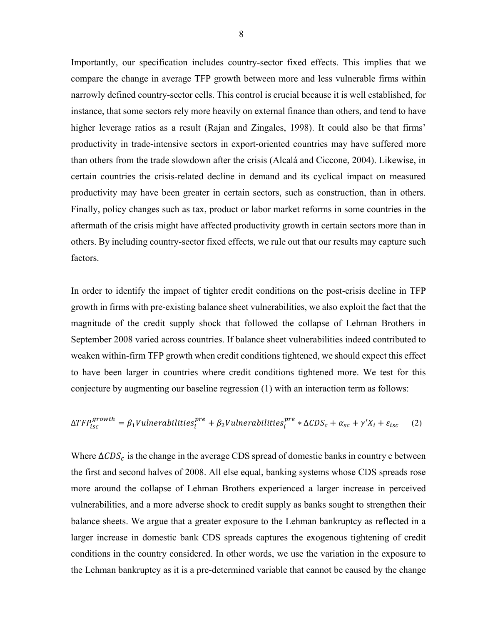Importantly, our specification includes country-sector fixed effects. This implies that we compare the change in average TFP growth between more and less vulnerable firms within narrowly defined country-sector cells. This control is crucial because it is well established, for instance, that some sectors rely more heavily on external finance than others, and tend to have higher leverage ratios as a result (Rajan and Zingales, 1998). It could also be that firms' productivity in trade-intensive sectors in export-oriented countries may have suffered more than others from the trade slowdown after the crisis (Alcalá and Ciccone, 2004). Likewise, in certain countries the crisis-related decline in demand and its cyclical impact on measured productivity may have been greater in certain sectors, such as construction, than in others. Finally, policy changes such as tax, product or labor market reforms in some countries in the aftermath of the crisis might have affected productivity growth in certain sectors more than in others. By including country-sector fixed effects, we rule out that our results may capture such factors.

In order to identify the impact of tighter credit conditions on the post-crisis decline in TFP growth in firms with pre-existing balance sheet vulnerabilities, we also exploit the fact that the magnitude of the credit supply shock that followed the collapse of Lehman Brothers in September 2008 varied across countries. If balance sheet vulnerabilities indeed contributed to weaken within-firm TFP growth when credit conditions tightened, we should expect this effect to have been larger in countries where credit conditions tightened more. We test for this conjecture by augmenting our baseline regression (1) with an interaction term as follows:

$$
\Delta TFP_{isc}^{growth} = \beta_1 Vullner abilities_i^{pre} + \beta_2 Vullner abilities_i^{pre} * \Delta CDS_c + \alpha_{sc} + \gamma' X_i + \varepsilon_{isc} \tag{2}
$$

Where  $\Delta CDS_c$  is the change in the average CDS spread of domestic banks in country c between the first and second halves of 2008. All else equal, banking systems whose CDS spreads rose more around the collapse of Lehman Brothers experienced a larger increase in perceived vulnerabilities, and a more adverse shock to credit supply as banks sought to strengthen their balance sheets. We argue that a greater exposure to the Lehman bankruptcy as reflected in a larger increase in domestic bank CDS spreads captures the exogenous tightening of credit conditions in the country considered. In other words, we use the variation in the exposure to the Lehman bankruptcy as it is a pre-determined variable that cannot be caused by the change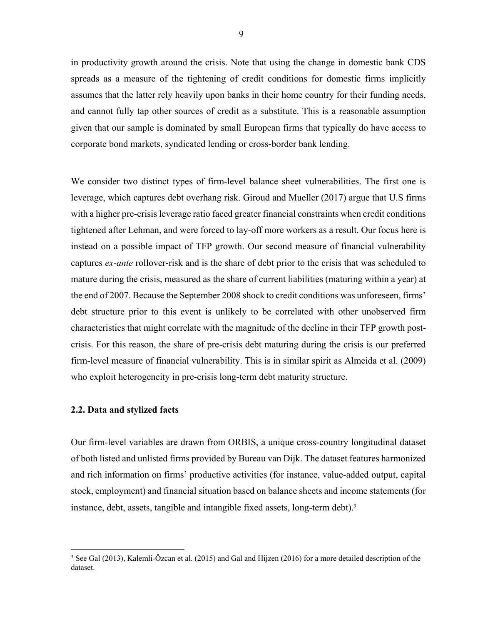in productivity growth around the crisis. Note that using the change in domestic bank CDS spreads as a measure of the tightening of credit conditions for domestic firms implicitly assumes that the latter rely heavily upon banks in their home country for their funding needs, and cannot fully tap other sources of credit as a substitute. This is a reasonable assumption given that our sample is dominated by small European firms that typically do have access to corporate bond markets, syndicated lending or cross-border bank lending.

We consider two distinct types of firm-level balance sheet vulnerabilities. The first one is leverage, which captures debt overhang risk. Giroud and Mueller (2017) argue that U.S firms with a higher pre-crisis leverage ratio faced greater financial constraints when credit conditions tightened after Lehman, and were forced to lay-off more workers as a result. Our focus here is instead on a possible impact of TFP growth. Our second measure of financial vulnerability captures *ex-ante* rollover-risk and is the share of debt prior to the crisis that was scheduled to mature during the crisis, measured as the share of current liabilities (maturing within a year) at the end of 2007. Because the September 2008 shock to credit conditions was unforeseen, firms' debt structure prior to this event is unlikely to be correlated with other unobserved firm characteristics that might correlate with the magnitude of the decline in their TFP growth postcrisis. For this reason, the share of pre-crisis debt maturing during the crisis is our preferred firm-level measure of financial vulnerability. This is in similar spirit as Almeida et al. (2009) who exploit heterogeneity in pre-crisis long-term debt maturity structure.

#### **2.2. Data and stylized facts**

 $\overline{a}$ 

Our firm-level variables are drawn from ORBIS, a unique cross-country longitudinal dataset of both listed and unlisted firms provided by Bureau van Dijk. The dataset features harmonized and rich information on firms' productive activities (for instance, value-added output, capital stock, employment) and financial situation based on balance sheets and income statements (for instance, debt, assets, tangible and intangible fixed assets, long-term debt).<sup>3</sup>

<sup>&</sup>lt;sup>3</sup> See Gal (2013), Kalemli-Özcan et al. (2015) and Gal and Hijzen (2016) for a more detailed description of the dataset.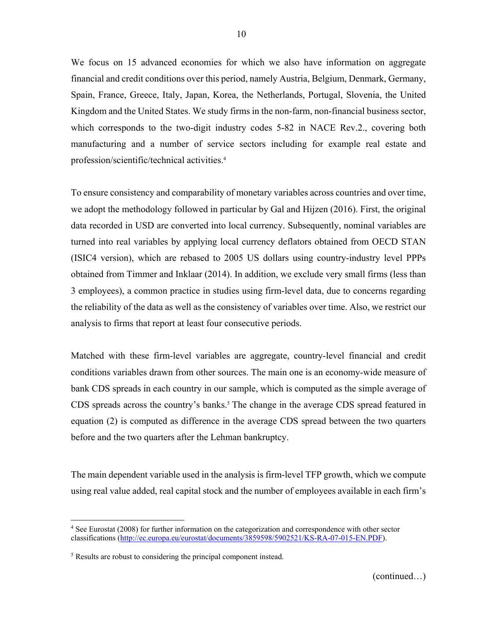We focus on 15 advanced economies for which we also have information on aggregate financial and credit conditions over this period, namely Austria, Belgium, Denmark, Germany, Spain, France, Greece, Italy, Japan, Korea, the Netherlands, Portugal, Slovenia, the United Kingdom and the United States. We study firms in the non-farm, non-financial business sector, which corresponds to the two-digit industry codes 5-82 in NACE Rev.2., covering both manufacturing and a number of service sectors including for example real estate and profession/scientific/technical activities.4

To ensure consistency and comparability of monetary variables across countries and over time, we adopt the methodology followed in particular by Gal and Hijzen (2016). First, the original data recorded in USD are converted into local currency. Subsequently, nominal variables are turned into real variables by applying local currency deflators obtained from OECD STAN (ISIC4 version), which are rebased to 2005 US dollars using country-industry level PPPs obtained from Timmer and Inklaar (2014). In addition, we exclude very small firms (less than 3 employees), a common practice in studies using firm-level data, due to concerns regarding the reliability of the data as well as the consistency of variables over time. Also, we restrict our analysis to firms that report at least four consecutive periods.

Matched with these firm-level variables are aggregate, country-level financial and credit conditions variables drawn from other sources. The main one is an economy-wide measure of bank CDS spreads in each country in our sample, which is computed as the simple average of CDS spreads across the country's banks.<sup>5</sup> The change in the average CDS spread featured in equation (2) is computed as difference in the average CDS spread between the two quarters before and the two quarters after the Lehman bankruptcy.

The main dependent variable used in the analysis is firm-level TFP growth, which we compute using real value added, real capital stock and the number of employees available in each firm's

 $\overline{a}$ 

<sup>4</sup> See Eurostat (2008) for further information on the categorization and correspondence with other sector classifications (http://ec.europa.eu/eurostat/documents/3859598/5902521/KS-RA-07-015-EN.PDF).

<sup>&</sup>lt;sup>5</sup> Results are robust to considering the principal component instead.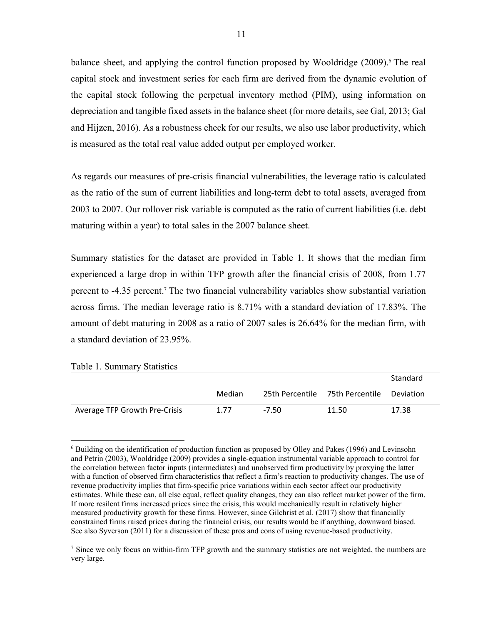balance sheet, and applying the control function proposed by Wooldridge (2009).<sup>6</sup> The real capital stock and investment series for each firm are derived from the dynamic evolution of the capital stock following the perpetual inventory method (PIM), using information on depreciation and tangible fixed assets in the balance sheet (for more details, see Gal, 2013; Gal and Hijzen, 2016). As a robustness check for our results, we also use labor productivity, which is measured as the total real value added output per employed worker.

As regards our measures of pre-crisis financial vulnerabilities, the leverage ratio is calculated as the ratio of the sum of current liabilities and long-term debt to total assets, averaged from 2003 to 2007. Our rollover risk variable is computed as the ratio of current liabilities (i.e. debt maturing within a year) to total sales in the 2007 balance sheet.

Summary statistics for the dataset are provided in Table 1. It shows that the median firm experienced a large drop in within TFP growth after the financial crisis of 2008, from 1.77 percent to -4.35 percent.<sup>7</sup> The two financial vulnerability variables show substantial variation across firms. The median leverage ratio is 8.71% with a standard deviation of 17.83%. The amount of debt maturing in 2008 as a ratio of 2007 sales is 26.64% for the median firm, with a standard deviation of 23.95%.

| Table 1. Summary Statistics   |        |       |                                 |           |
|-------------------------------|--------|-------|---------------------------------|-----------|
|                               |        |       |                                 | Standard  |
|                               | Median |       | 25th Percentile 75th Percentile | Deviation |
| Average TFP Growth Pre-Crisis | 1.77   | -7.50 | 11.50                           | 17.38     |

 $\overline{a}$ <sup>6</sup> Building on the identification of production function as proposed by Olley and Pakes (1996) and Levinsohn and Petrin (2003), Wooldridge (2009) provides a single-equation instrumental variable approach to control for the correlation between factor inputs (intermediates) and unobserved firm productivity by proxying the latter with a function of observed firm characteristics that reflect a firm's reaction to productivity changes. The use of revenue productivity implies that firm-specific price variations within each sector affect our productivity estimates. While these can, all else equal, reflect quality changes, they can also reflect market power of the firm. If more resilent firms increased prices since the crisis, this would mechanically result in relatively higher measured productivity growth for these firms. However, since Gilchrist et al. (2017) show that financially constrained firms raised prices during the financial crisis, our results would be if anything, downward biased. See also Syverson (2011) for a discussion of these pros and cons of using revenue-based productivity.

<sup>&</sup>lt;sup>7</sup> Since we only focus on within-firm TFP growth and the summary statistics are not weighted, the numbers are very large.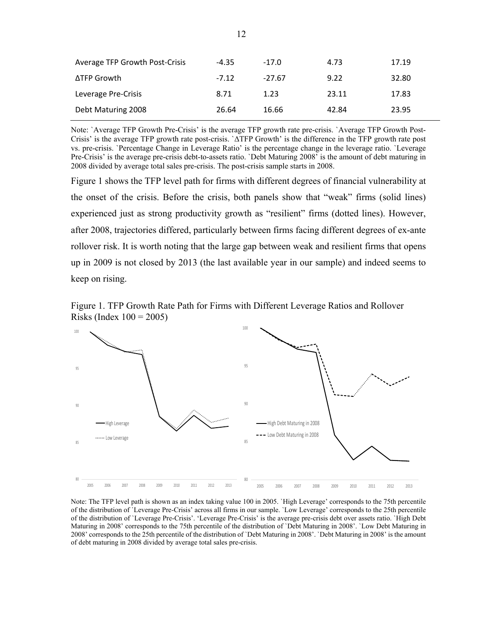| Average TFP Growth Post-Crisis | $-4.35$ | $-17.0$  | 4.73  | 17.19 |
|--------------------------------|---------|----------|-------|-------|
| ΔTFP Growth                    | $-7.12$ | $-27.67$ | 9.22  | 32.80 |
| Leverage Pre-Crisis            | 8.71    | 1.23     | 23.11 | 17.83 |
| Debt Maturing 2008             | 26.64   | 16.66    | 42.84 | 23.95 |

Note: `Average TFP Growth Pre-Crisis' is the average TFP growth rate pre-crisis. `Average TFP Growth Post-Crisis' is the average TFP growth rate post-crisis. `ΔTFP Growth' is the difference in the TFP growth rate post vs. pre-crisis. `Percentage Change in Leverage Ratio' is the percentage change in the leverage ratio. `Leverage Pre-Crisis' is the average pre-crisis debt-to-assets ratio. `Debt Maturing 2008' is the amount of debt maturing in 2008 divided by average total sales pre-crisis. The post-crisis sample starts in 2008.

Figure 1 shows the TFP level path for firms with different degrees of financial vulnerability at the onset of the crisis. Before the crisis, both panels show that "weak" firms (solid lines) experienced just as strong productivity growth as "resilient" firms (dotted lines). However, after 2008, trajectories differed, particularly between firms facing different degrees of ex-ante rollover risk. It is worth noting that the large gap between weak and resilient firms that opens up in 2009 is not closed by 2013 (the last available year in our sample) and indeed seems to keep on rising.





Note: The TFP level path is shown as an index taking value 100 in 2005. `High Leverage' corresponds to the 75th percentile of the distribution of `Leverage Pre-Crisis' across all firms in our sample. `Low Leverage' corresponds to the 25th percentile of the distribution of `Leverage Pre-Crisis'. 'Leverage Pre-Crisis' is the average pre-crisis debt over assets ratio. `High Debt Maturing in 2008' corresponds to the 75th percentile of the distribution of `Debt Maturing in 2008'. `Low Debt Maturing in 2008' corresponds to the 25th percentile of the distribution of `Debt Maturing in 2008'. `Debt Maturing in 2008' is the amount of debt maturing in 2008 divided by average total sales pre-crisis.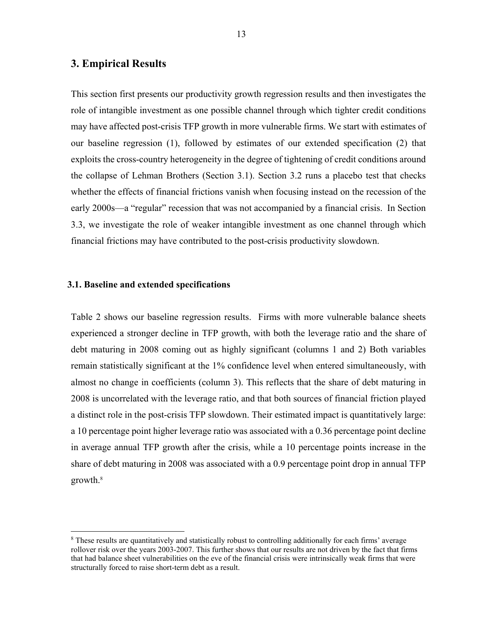#### **3. Empirical Results**

This section first presents our productivity growth regression results and then investigates the role of intangible investment as one possible channel through which tighter credit conditions may have affected post-crisis TFP growth in more vulnerable firms. We start with estimates of our baseline regression (1), followed by estimates of our extended specification (2) that exploits the cross-country heterogeneity in the degree of tightening of credit conditions around the collapse of Lehman Brothers (Section 3.1). Section 3.2 runs a placebo test that checks whether the effects of financial frictions vanish when focusing instead on the recession of the early 2000s—a "regular" recession that was not accompanied by a financial crisis. In Section 3.3, we investigate the role of weaker intangible investment as one channel through which financial frictions may have contributed to the post-crisis productivity slowdown.

#### **3.1. Baseline and extended specifications**

<u>.</u>

Table 2 shows our baseline regression results. Firms with more vulnerable balance sheets experienced a stronger decline in TFP growth, with both the leverage ratio and the share of debt maturing in 2008 coming out as highly significant (columns 1 and 2) Both variables remain statistically significant at the 1% confidence level when entered simultaneously, with almost no change in coefficients (column 3). This reflects that the share of debt maturing in 2008 is uncorrelated with the leverage ratio, and that both sources of financial friction played a distinct role in the post-crisis TFP slowdown. Their estimated impact is quantitatively large: a 10 percentage point higher leverage ratio was associated with a 0.36 percentage point decline in average annual TFP growth after the crisis, while a 10 percentage points increase in the share of debt maturing in 2008 was associated with a 0.9 percentage point drop in annual TFP growth.8

<sup>&</sup>lt;sup>8</sup> These results are quantitatively and statistically robust to controlling additionally for each firms' average rollover risk over the years 2003-2007. This further shows that our results are not driven by the fact that firms that had balance sheet vulnerabilities on the eve of the financial crisis were intrinsically weak firms that were structurally forced to raise short-term debt as a result.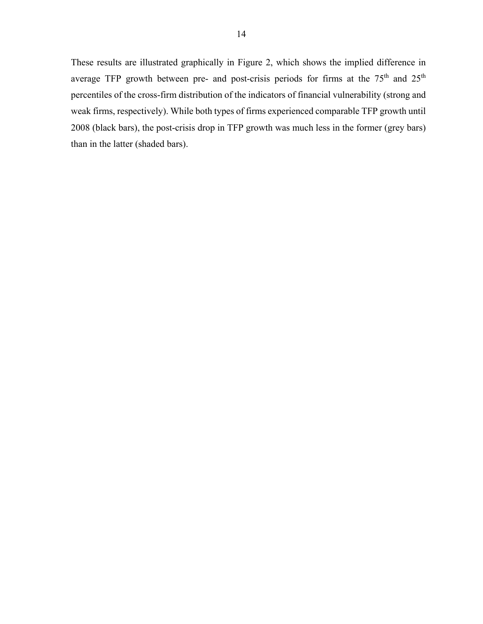These results are illustrated graphically in Figure 2, which shows the implied difference in average TFP growth between pre- and post-crisis periods for firms at the 75<sup>th</sup> and 25<sup>th</sup> percentiles of the cross-firm distribution of the indicators of financial vulnerability (strong and weak firms, respectively). While both types of firms experienced comparable TFP growth until 2008 (black bars), the post-crisis drop in TFP growth was much less in the former (grey bars) than in the latter (shaded bars).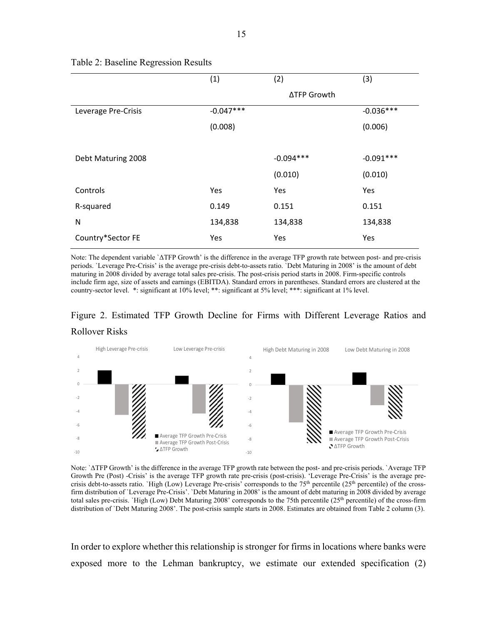|                     | (1)         | (2)         | (3)         |
|---------------------|-------------|-------------|-------------|
|                     |             | ∆TFP Growth |             |
| Leverage Pre-Crisis | $-0.047***$ |             | $-0.036***$ |
|                     | (0.008)     |             | (0.006)     |
|                     |             |             |             |
| Debt Maturing 2008  |             | $-0.094***$ | $-0.091***$ |
|                     |             | (0.010)     | (0.010)     |
| Controls            | Yes         | Yes         | Yes         |
| R-squared           | 0.149       | 0.151       | 0.151       |
| N                   | 134,838     | 134,838     | 134,838     |
| Country*Sector FE   | Yes         | Yes         | Yes         |

#### Table 2: Baseline Regression Results

Note: The dependent variable `ΔTFP Growth' is the difference in the average TFP growth rate between post- and pre-crisis periods. `Leverage Pre-Crisis' is the average pre-crisis debt-to-assets ratio. `Debt Maturing in 2008' is the amount of debt maturing in 2008 divided by average total sales pre-crisis. The post-crisis period starts in 2008. Firm-specific controls include firm age, size of assets and earnings (EBITDA). Standard errors in parentheses. Standard errors are clustered at the country-sector level. \*: significant at 10% level; \*\*: significant at 5% level; \*\*\*: significant at 1% level.

# Figure 2. Estimated TFP Growth Decline for Firms with Different Leverage Ratios and Rollover Risks



Note: `ΔTFP Growth' is the difference in the average TFP growth rate between the post- and pre-crisis periods. `Average TFP Growth Pre (Post) -Crisis' is the average TFP growth rate pre-crisis (post-crisis). 'Leverage Pre-Crisis' is the average precrisis debt-to-assets ratio. `High (Low) Leverage Pre-crisis' corresponds to the  $75<sup>th</sup>$  percentile ( $25<sup>th</sup>$  percentile) of the crossfirm distribution of `Leverage Pre-Crisis'. `Debt Maturing in 2008' is the amount of debt maturing in 2008 divided by average total sales pre-crisis. `High (Low) Debt Maturing 2008' corresponds to the 75th percentile ( $25<sup>th</sup>$  percentile) of the cross-firm distribution of `Debt Maturing 2008'. The post-crisis sample starts in 2008. Estimates are obtained from Table 2 column (3).

In order to explore whether this relationship is stronger for firms in locations where banks were exposed more to the Lehman bankruptcy, we estimate our extended specification (2)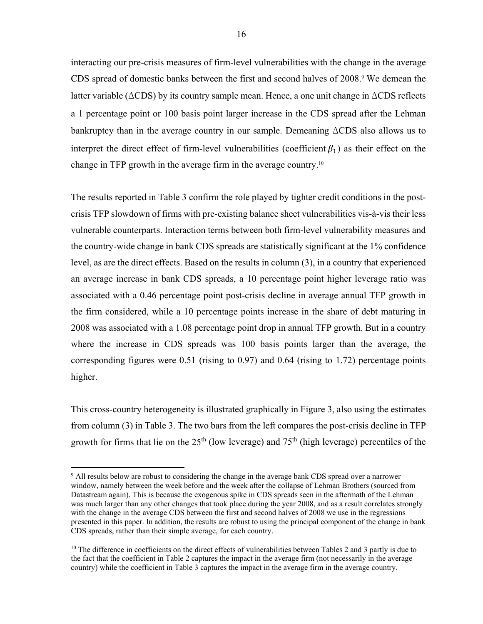interacting our pre-crisis measures of firm-level vulnerabilities with the change in the average CDS spread of domestic banks between the first and second halves of 2008.<sup>9</sup> We demean the latter variable (ΔCDS) by its country sample mean. Hence, a one unit change in ΔCDS reflects a 1 percentage point or 100 basis point larger increase in the CDS spread after the Lehman bankruptcy than in the average country in our sample. Demeaning ΔCDS also allows us to interpret the direct effect of firm-level vulnerabilities (coefficient  $\beta_1$ ) as their effect on the change in TFP growth in the average firm in the average country.10

The results reported in Table 3 confirm the role played by tighter credit conditions in the postcrisis TFP slowdown of firms with pre-existing balance sheet vulnerabilities vis-à-vis their less vulnerable counterparts. Interaction terms between both firm-level vulnerability measures and the country-wide change in bank CDS spreads are statistically significant at the 1% confidence level, as are the direct effects. Based on the results in column (3), in a country that experienced an average increase in bank CDS spreads, a 10 percentage point higher leverage ratio was associated with a 0.46 percentage point post-crisis decline in average annual TFP growth in the firm considered, while a 10 percentage points increase in the share of debt maturing in 2008 was associated with a 1.08 percentage point drop in annual TFP growth. But in a country where the increase in CDS spreads was 100 basis points larger than the average, the corresponding figures were 0.51 (rising to 0.97) and 0.64 (rising to 1.72) percentage points higher.

This cross-country heterogeneity is illustrated graphically in Figure 3, also using the estimates from column (3) in Table 3. The two bars from the left compares the post-crisis decline in TFP growth for firms that lie on the  $25<sup>th</sup>$  (low leverage) and  $75<sup>th</sup>$  (high leverage) percentiles of the

 $\overline{a}$ 

<sup>9</sup> All results below are robust to considering the change in the average bank CDS spread over a narrower window, namely between the week before and the week after the collapse of Lehman Brothers (sourced from Datastream again). This is because the exogenous spike in CDS spreads seen in the aftermath of the Lehman was much larger than any other changes that took place during the year 2008, and as a result correlates strongly with the change in the average CDS between the first and second halves of 2008 we use in the regressions presented in this paper. In addition, the results are robust to using the principal component of the change in bank CDS spreads, rather than their simple average, for each country.

 $10$  The difference in coefficients on the direct effects of vulnerabilities between Tables 2 and 3 partly is due to the fact that the coefficient in Table 2 captures the impact in the average firm (not necessarily in the average country) while the coefficient in Table 3 captures the impact in the average firm in the average country.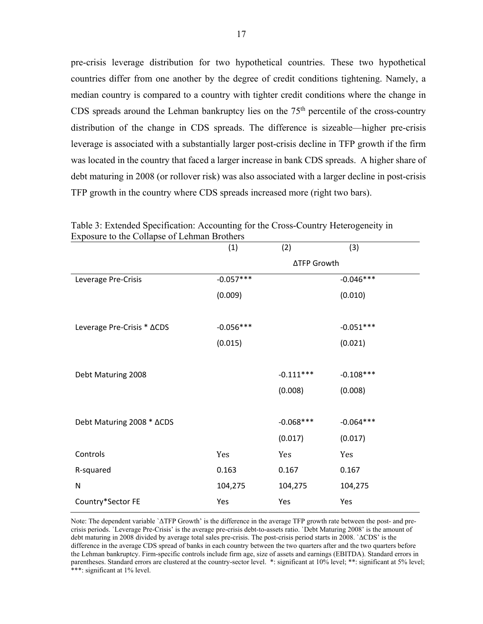pre-crisis leverage distribution for two hypothetical countries. These two hypothetical countries differ from one another by the degree of credit conditions tightening. Namely, a median country is compared to a country with tighter credit conditions where the change in CDS spreads around the Lehman bankruptcy lies on the  $75<sup>th</sup>$  percentile of the cross-country distribution of the change in CDS spreads. The difference is sizeable—higher pre-crisis leverage is associated with a substantially larger post-crisis decline in TFP growth if the firm was located in the country that faced a larger increase in bank CDS spreads. A higher share of debt maturing in 2008 (or rollover risk) was also associated with a larger decline in post-crisis TFP growth in the country where CDS spreads increased more (right two bars).

|                            | (1)         | (2)                | (3)         |
|----------------------------|-------------|--------------------|-------------|
|                            |             | <b>∆TFP Growth</b> |             |
| Leverage Pre-Crisis        | $-0.057***$ |                    | $-0.046***$ |
|                            | (0.009)     |                    | (0.010)     |
|                            |             |                    |             |
| Leverage Pre-Crisis * ACDS | $-0.056***$ |                    | $-0.051***$ |
|                            | (0.015)     |                    | (0.021)     |
|                            |             |                    |             |
| Debt Maturing 2008         |             | $-0.111***$        | $-0.108***$ |
|                            |             | (0.008)            | (0.008)     |
|                            |             |                    |             |
| Debt Maturing 2008 * ACDS  |             | $-0.068***$        | $-0.064***$ |
|                            |             | (0.017)            | (0.017)     |
| Controls                   | Yes         | Yes                | Yes         |
| R-squared                  | 0.163       | 0.167              | 0.167       |
| $\mathsf{N}$               | 104,275     | 104,275            | 104,275     |
| Country*Sector FE          | Yes         | Yes                | Yes         |

Table 3: Extended Specification: Accounting for the Cross-Country Heterogeneity in Exposure to the Collapse of Lehman Brothers

Note: The dependent variable `ΔTFP Growth' is the difference in the average TFP growth rate between the post- and precrisis periods. `Leverage Pre-Crisis' is the average pre-crisis debt-to-assets ratio. `Debt Maturing 2008' is the amount of debt maturing in 2008 divided by average total sales pre-crisis. The post-crisis period starts in 2008. `∆CDS' is the difference in the average CDS spread of banks in each country between the two quarters after and the two quarters before the Lehman bankruptcy. Firm-specific controls include firm age, size of assets and earnings (EBITDA). Standard errors in parentheses. Standard errors are clustered at the country-sector level. \*: significant at 10% level; \*\*: significant at 5% level; \*\*\*: significant at 1% level.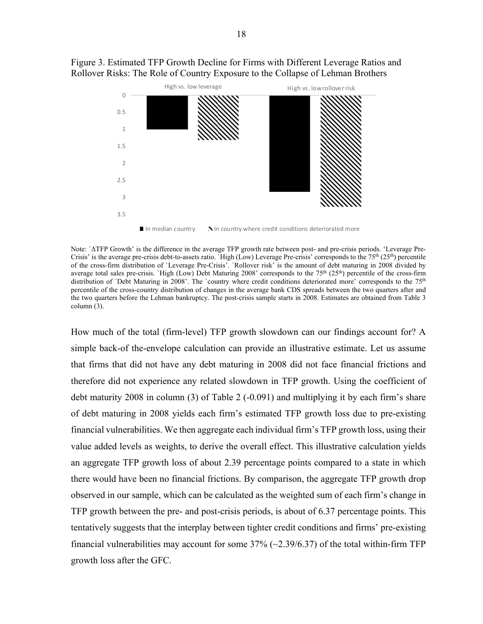



Note: `ΔTFP Growth' is the difference in the average TFP growth rate between post- and pre-crisis periods. 'Leverage Pre-Crisis' is the average pre-crisis debt-to-assets ratio. `High (Low) Leverage Pre-crisis' corresponds to the  $75<sup>th</sup> (25<sup>th</sup>)$  percentile of the cross-firm distribution of `Leverage Pre-Crisis'. `Rollover risk' is the amount of debt maturing in 2008 divided by average total sales pre-crisis. `High (Low) Debt Maturing 2008' corresponds to the 75<sup>th</sup> (25<sup>th</sup>) percentile of the cross-firm distribution of `Debt Maturing in 2008'. The `country where credit conditions deteriorated more' corresponds to the 75<sup>th</sup> percentile of the cross-country distribution of changes in the average bank CDS spreads between the two quarters after and the two quarters before the Lehman bankruptcy. The post-crisis sample starts in 2008. Estimates are obtained from Table 3 column (3).

How much of the total (firm-level) TFP growth slowdown can our findings account for? A simple back-of the-envelope calculation can provide an illustrative estimate. Let us assume that firms that did not have any debt maturing in 2008 did not face financial frictions and therefore did not experience any related slowdown in TFP growth. Using the coefficient of debt maturity 2008 in column (3) of Table 2 (-0.091) and multiplying it by each firm's share of debt maturing in 2008 yields each firm's estimated TFP growth loss due to pre-existing financial vulnerabilities. We then aggregate each individual firm's TFP growth loss, using their value added levels as weights, to derive the overall effect. This illustrative calculation yields an aggregate TFP growth loss of about 2.39 percentage points compared to a state in which there would have been no financial frictions. By comparison, the aggregate TFP growth drop observed in our sample, which can be calculated as the weighted sum of each firm's change in TFP growth between the pre- and post-crisis periods, is about of 6.37 percentage points. This tentatively suggests that the interplay between tighter credit conditions and firms' pre-existing financial vulnerabilities may account for some  $37\%$  ( $\sim$  2.39/6.37) of the total within-firm TFP growth loss after the GFC.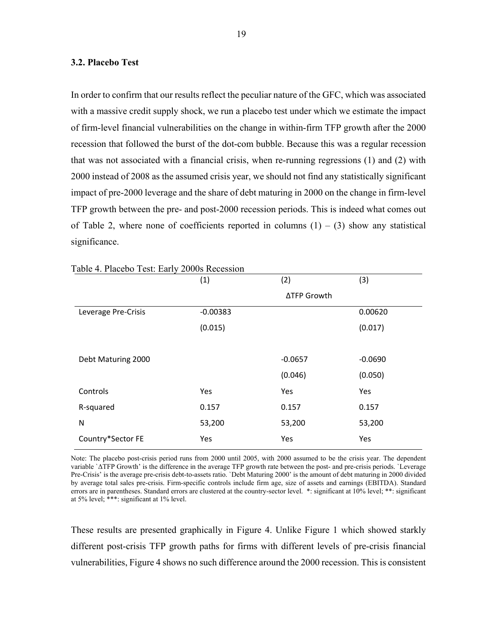#### **3.2. Placebo Test**

In order to confirm that our results reflect the peculiar nature of the GFC, which was associated with a massive credit supply shock, we run a placebo test under which we estimate the impact of firm-level financial vulnerabilities on the change in within-firm TFP growth after the 2000 recession that followed the burst of the dot-com bubble. Because this was a regular recession that was not associated with a financial crisis, when re-running regressions (1) and (2) with 2000 instead of 2008 as the assumed crisis year, we should not find any statistically significant impact of pre-2000 leverage and the share of debt maturing in 2000 on the change in firm-level TFP growth between the pre- and post-2000 recession periods. This is indeed what comes out of Table 2, where none of coefficients reported in columns  $(1) - (3)$  show any statistical significance.

| $1401$ $\sigma$ $1.140000$ $\sigma$ $1000$ . $20000$ $10000$ | (1)        | (2)         | (3)       |
|--------------------------------------------------------------|------------|-------------|-----------|
|                                                              |            | ∆TFP Growth |           |
| Leverage Pre-Crisis                                          | $-0.00383$ |             | 0.00620   |
|                                                              | (0.015)    |             | (0.017)   |
|                                                              |            |             |           |
| Debt Maturing 2000                                           |            | $-0.0657$   | $-0.0690$ |
|                                                              |            | (0.046)     | (0.050)   |
| Controls                                                     | Yes        | Yes         | Yes       |
| R-squared                                                    | 0.157      | 0.157       | 0.157     |
| N                                                            | 53,200     | 53,200      | 53,200    |
| Country*Sector FE                                            | Yes        | Yes         | Yes       |

#### Table 4. Placebo Test: Early 2000s Recession

Note: The placebo post-crisis period runs from 2000 until 2005, with 2000 assumed to be the crisis year. The dependent variable `ΔTFP Growth' is the difference in the average TFP growth rate between the post- and pre-crisis periods. `Leverage Pre-Crisis' is the average pre-crisis debt-to-assets ratio. `Debt Maturing 2000' is the amount of debt maturing in 2000 divided by average total sales pre-crisis. Firm-specific controls include firm age, size of assets and earnings (EBITDA). Standard errors are in parentheses. Standard errors are clustered at the country-sector level. \*: significant at 10% level; \*\*: significant at 5% level; \*\*\*: significant at 1% level.

These results are presented graphically in Figure 4. Unlike Figure 1 which showed starkly different post-crisis TFP growth paths for firms with different levels of pre-crisis financial vulnerabilities, Figure 4 shows no such difference around the 2000 recession. This is consistent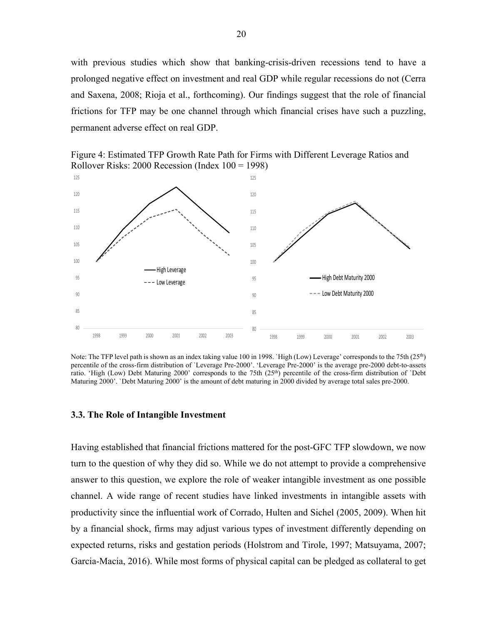with previous studies which show that banking-crisis-driven recessions tend to have a prolonged negative effect on investment and real GDP while regular recessions do not (Cerra and Saxena, 2008; Rioja et al., forthcoming). Our findings suggest that the role of financial frictions for TFP may be one channel through which financial crises have such a puzzling, permanent adverse effect on real GDP.





Note: The TFP level path is shown as an index taking value 100 in 1998. `High (Low) Leverage' corresponds to the 75th (25th) percentile of the cross-firm distribution of `Leverage Pre-2000'. 'Leverage Pre-2000' is the average pre-2000 debt-to-assets ratio. 'High (Low) Debt Maturing 2000' corresponds to the 75th (25th) percentile of the cross-firm distribution of `Debt Maturing 2000'. `Debt Maturing 2000' is the amount of debt maturing in 2000 divided by average total sales pre-2000.

#### **3.3. The Role of Intangible Investment**

Having established that financial frictions mattered for the post-GFC TFP slowdown, we now turn to the question of why they did so. While we do not attempt to provide a comprehensive answer to this question, we explore the role of weaker intangible investment as one possible channel. A wide range of recent studies have linked investments in intangible assets with productivity since the influential work of Corrado, Hulten and Sichel (2005, 2009). When hit by a financial shock, firms may adjust various types of investment differently depending on expected returns, risks and gestation periods (Holstrom and Tirole, 1997; Matsuyama, 2007; Garcia-Macia, 2016). While most forms of physical capital can be pledged as collateral to get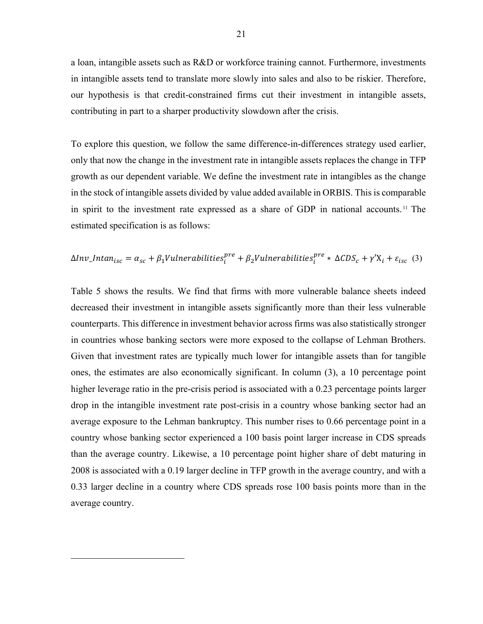a loan, intangible assets such as R&D or workforce training cannot. Furthermore, investments in intangible assets tend to translate more slowly into sales and also to be riskier. Therefore, our hypothesis is that credit-constrained firms cut their investment in intangible assets, contributing in part to a sharper productivity slowdown after the crisis.

To explore this question, we follow the same difference-in-differences strategy used earlier, only that now the change in the investment rate in intangible assets replaces the change in TFP growth as our dependent variable. We define the investment rate in intangibles as the change in the stock of intangible assets divided by value added available in ORBIS. This is comparable in spirit to the investment rate expressed as a share of GDP in national accounts. 11 The estimated specification is as follows:

$$
\Delta Inv\_Intan_{isc} = \alpha_{sc} + \beta_1 V \mu_{iter} \text{abilities}_{i}^{pre} + \beta_2 V \mu_{iter} \text{abilities}_{i}^{pre} * \Delta CDS_c + \gamma' X_i + \varepsilon_{isc} \tag{3}
$$

Table 5 shows the results. We find that firms with more vulnerable balance sheets indeed decreased their investment in intangible assets significantly more than their less vulnerable counterparts. This difference in investment behavior across firms was also statistically stronger in countries whose banking sectors were more exposed to the collapse of Lehman Brothers. Given that investment rates are typically much lower for intangible assets than for tangible ones, the estimates are also economically significant. In column (3), a 10 percentage point higher leverage ratio in the pre-crisis period is associated with a 0.23 percentage points larger drop in the intangible investment rate post-crisis in a country whose banking sector had an average exposure to the Lehman bankruptcy. This number rises to 0.66 percentage point in a country whose banking sector experienced a 100 basis point larger increase in CDS spreads than the average country. Likewise, a 10 percentage point higher share of debt maturing in 2008 is associated with a 0.19 larger decline in TFP growth in the average country, and with a 0.33 larger decline in a country where CDS spreads rose 100 basis points more than in the average country.

 $\overline{a}$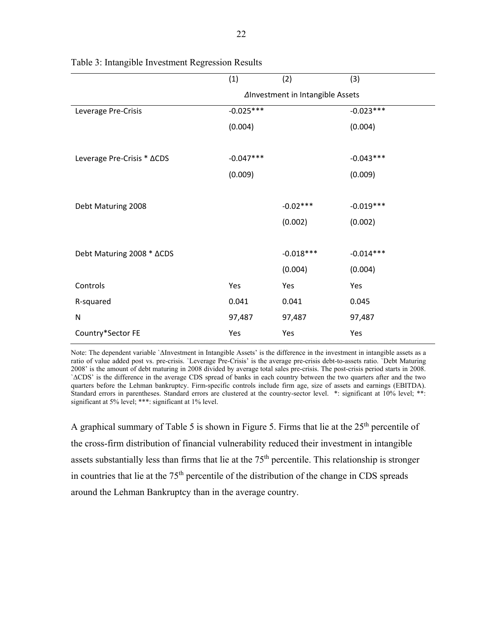| (1)                              | (2)         | (3)         |  |  |  |
|----------------------------------|-------------|-------------|--|--|--|
| Alnvestment in Intangible Assets |             |             |  |  |  |
| $-0.025***$                      |             | $-0.023***$ |  |  |  |
| (0.004)                          |             | (0.004)     |  |  |  |
|                                  |             |             |  |  |  |
| $-0.047***$                      |             | $-0.043***$ |  |  |  |
| (0.009)                          |             | (0.009)     |  |  |  |
|                                  |             |             |  |  |  |
|                                  | $-0.02***$  | $-0.019***$ |  |  |  |
|                                  | (0.002)     | (0.002)     |  |  |  |
|                                  |             |             |  |  |  |
|                                  | $-0.018***$ | $-0.014***$ |  |  |  |
|                                  | (0.004)     | (0.004)     |  |  |  |
| Yes                              | Yes         | Yes         |  |  |  |
| 0.041                            | 0.041       | 0.045       |  |  |  |
| 97,487                           | 97,487      | 97,487      |  |  |  |
| Yes                              | Yes         | Yes         |  |  |  |
|                                  |             |             |  |  |  |

Table 3: Intangible Investment Regression Results

Note: The dependent variable `ΔInvestment in Intangible Assets' is the difference in the investment in intangible assets as a ratio of value added post vs. pre-crisis. `Leverage Pre-Crisis' is the average pre-crisis debt-to-assets ratio. `Debt Maturing 2008' is the amount of debt maturing in 2008 divided by average total sales pre-crisis. The post-crisis period starts in 2008. `∆CDS' is the difference in the average CDS spread of banks in each country between the two quarters after and the two quarters before the Lehman bankruptcy. Firm-specific controls include firm age, size of assets and earnings (EBITDA). Standard errors in parentheses. Standard errors are clustered at the country-sector level. \*: significant at 10% level; \*\*: significant at 5% level; \*\*\*: significant at 1% level.

A graphical summary of Table 5 is shown in Figure 5. Firms that lie at the 25<sup>th</sup> percentile of the cross-firm distribution of financial vulnerability reduced their investment in intangible assets substantially less than firms that lie at the  $75<sup>th</sup>$  percentile. This relationship is stronger in countries that lie at the 75<sup>th</sup> percentile of the distribution of the change in CDS spreads around the Lehman Bankruptcy than in the average country.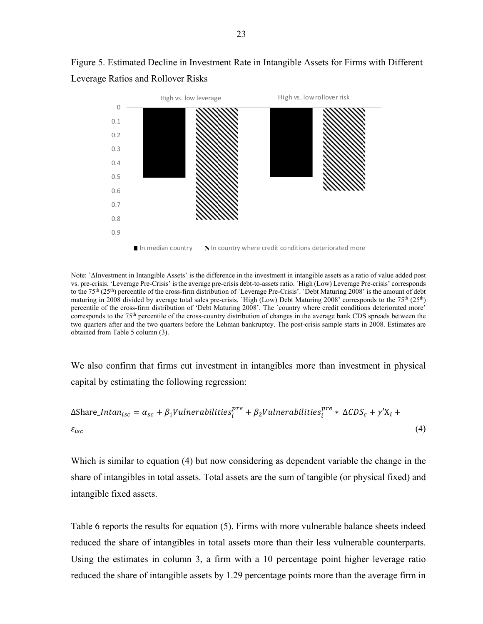

Figure 5. Estimated Decline in Investment Rate in Intangible Assets for Firms with Different Leverage Ratios and Rollover Risks

Note: `ΔInvestment in Intangible Assets' is the difference in the investment in intangible assets as a ratio of value added post vs. pre-crisis. 'Leverage Pre-Crisis' is the average pre-crisis debt-to-assets ratio. `High (Low) Leverage Pre-crisis' corresponds to the 75th (25th) percentile of the cross-firm distribution of `Leverage Pre-Crisis'. `Debt Maturing 2008' is the amount of debt maturing in 2008 divided by average total sales pre-crisis. `High (Low) Debt Maturing 2008' corresponds to the 75<sup>th</sup> (25<sup>th</sup>) percentile of the cross-firm distribution of 'Debt Maturing 2008'. The `country where credit conditions deteriorated more' corresponds to the 75<sup>th</sup> percentile of the cross-country distribution of changes in the average bank CDS spreads between the two quarters after and the two quarters before the Lehman bankruptcy. The post-crisis sample starts in 2008. Estimates are obtained from Table 5 column (3).

We also confirm that firms cut investment in intangibles more than investment in physical capital by estimating the following regression:

$$
\Delta \text{Share\_Intan}_{isc} = \alpha_{sc} + \beta_1 \text{Vulnerabilities}_i^{\text{pre}} + \beta_2 \text{Vulnerabilities}_i^{\text{pre}} * \Delta CDS_c + \gamma' X_i + \varepsilon_{isc}
$$
\n
$$
\tag{4}
$$

Which is similar to equation (4) but now considering as dependent variable the change in the share of intangibles in total assets. Total assets are the sum of tangible (or physical fixed) and intangible fixed assets.

Table 6 reports the results for equation (5). Firms with more vulnerable balance sheets indeed reduced the share of intangibles in total assets more than their less vulnerable counterparts. Using the estimates in column 3, a firm with a 10 percentage point higher leverage ratio reduced the share of intangible assets by 1.29 percentage points more than the average firm in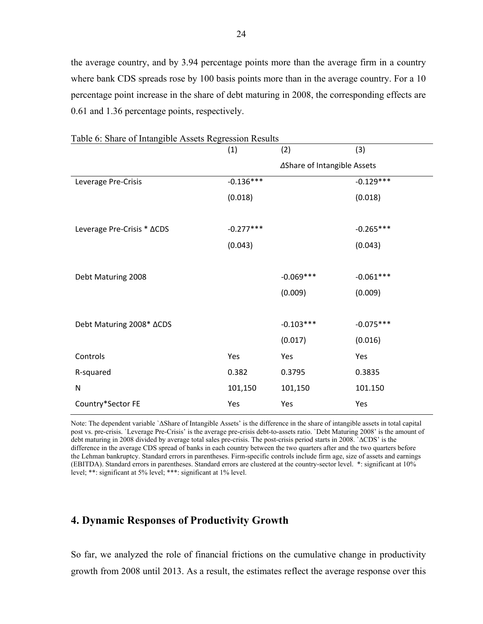the average country, and by 3.94 percentage points more than the average firm in a country where bank CDS spreads rose by 100 basis points more than in the average country. For a 10 percentage point increase in the share of debt maturing in 2008, the corresponding effects are 0.61 and 1.36 percentage points, respectively.

| Tuble 0. Share of manglole rissets regression research | (1)         | (2)                         | (3)         |
|--------------------------------------------------------|-------------|-----------------------------|-------------|
|                                                        |             | ∆Share of Intangible Assets |             |
| Leverage Pre-Crisis                                    | $-0.136***$ |                             | $-0.129***$ |
|                                                        | (0.018)     |                             | (0.018)     |
|                                                        |             |                             |             |
| Leverage Pre-Crisis * ACDS                             | $-0.277***$ |                             | $-0.265***$ |
|                                                        | (0.043)     |                             | (0.043)     |
|                                                        |             |                             |             |
| Debt Maturing 2008                                     |             | $-0.069***$                 | $-0.061***$ |
|                                                        |             | (0.009)                     | (0.009)     |
|                                                        |             |                             |             |
| Debt Maturing 2008* ACDS                               |             | $-0.103***$                 | $-0.075***$ |
|                                                        |             | (0.017)                     | (0.016)     |
| Controls                                               | Yes         | Yes                         | Yes         |
| R-squared                                              | 0.382       | 0.3795                      | 0.3835      |
| ${\sf N}$                                              | 101,150     | 101,150                     | 101.150     |
| Country*Sector FE                                      | Yes         | Yes                         | Yes         |

Table 6: Share of Intangible Assets Regression Results

Note: The dependent variable `ΔShare of Intangible Assets' is the difference in the share of intangible assets in total capital post vs. pre-crisis. `Leverage Pre-Crisis' is the average pre-crisis debt-to-assets ratio. `Debt Maturing 2008' is the amount of debt maturing in 2008 divided by average total sales pre-crisis. The post-crisis period starts in 2008. `∆CDS' is the difference in the average CDS spread of banks in each country between the two quarters after and the two quarters before the Lehman bankruptcy. Standard errors in parentheses. Firm-specific controls include firm age, size of assets and earnings (EBITDA). Standard errors in parentheses. Standard errors are clustered at the country-sector level. \*: significant at 10% level; \*\*: significant at 5% level; \*\*\*: significant at 1% level.

## **4. Dynamic Responses of Productivity Growth**

So far, we analyzed the role of financial frictions on the cumulative change in productivity growth from 2008 until 2013. As a result, the estimates reflect the average response over this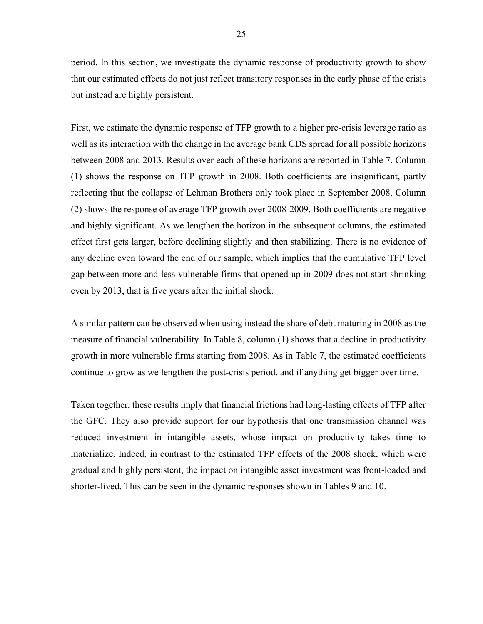period. In this section, we investigate the dynamic response of productivity growth to show that our estimated effects do not just reflect transitory responses in the early phase of the crisis but instead are highly persistent.

First, we estimate the dynamic response of TFP growth to a higher pre-crisis leverage ratio as well as its interaction with the change in the average bank CDS spread for all possible horizons between 2008 and 2013. Results over each of these horizons are reported in Table 7. Column (1) shows the response on TFP growth in 2008. Both coefficients are insignificant, partly reflecting that the collapse of Lehman Brothers only took place in September 2008. Column (2) shows the response of average TFP growth over 2008-2009. Both coefficients are negative and highly significant. As we lengthen the horizon in the subsequent columns, the estimated effect first gets larger, before declining slightly and then stabilizing. There is no evidence of any decline even toward the end of our sample, which implies that the cumulative TFP level gap between more and less vulnerable firms that opened up in 2009 does not start shrinking even by 2013, that is five years after the initial shock.

A similar pattern can be observed when using instead the share of debt maturing in 2008 as the measure of financial vulnerability. In Table 8, column (1) shows that a decline in productivity growth in more vulnerable firms starting from 2008. As in Table 7, the estimated coefficients continue to grow as we lengthen the post-crisis period, and if anything get bigger over time.

Taken together, these results imply that financial frictions had long-lasting effects of TFP after the GFC. They also provide support for our hypothesis that one transmission channel was reduced investment in intangible assets, whose impact on productivity takes time to materialize. Indeed, in contrast to the estimated TFP effects of the 2008 shock, which were gradual and highly persistent, the impact on intangible asset investment was front-loaded and shorter-lived. This can be seen in the dynamic responses shown in Tables 9 and 10.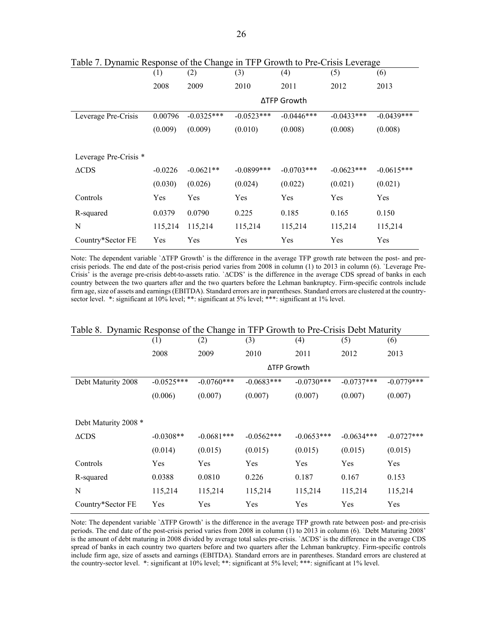|                       | (1)       | (2)          | (3)           | (4)          | (5)          | (6)          |
|-----------------------|-----------|--------------|---------------|--------------|--------------|--------------|
|                       | 2008      | 2009         | 2010          | 2011         | 2012         | 2013         |
|                       |           |              |               | ΔTFP Growth  |              |              |
| Leverage Pre-Crisis   | 0.00796   | $-0.0325***$ | $-0.0523***$  | $-0.0446***$ | $-0.0433***$ | $-0.0439***$ |
|                       | (0.009)   | (0.009)      | (0.010)       | (0.008)      | (0.008)      | (0.008)      |
|                       |           |              |               |              |              |              |
| Leverage Pre-Crisis * |           |              |               |              |              |              |
| $\triangle CDS$       | $-0.0226$ | $-0.0621**$  | $-0.0899$ *** | $-0.0703***$ | $-0.0623***$ | $-0.0615***$ |
|                       | (0.030)   | (0.026)      | (0.024)       | (0.022)      | (0.021)      | (0.021)      |
| Controls              | Yes       | Yes          | Yes           | Yes          | Yes          | Yes          |
| R-squared             | 0.0379    | 0.0790       | 0.225         | 0.185        | 0.165        | 0.150        |
| N                     | 115,214   | 115,214      | 115,214       | 115,214      | 115,214      | 115,214      |
| Country*Sector FE     | Yes       | Yes          | Yes           | Yes          | Yes          | Yes          |

Table 7. Dynamic Response of the Change in TFP Growth to Pre-Crisis Leverage

Note: The dependent variable `ΔTFP Growth' is the difference in the average TFP growth rate between the post- and precrisis periods. The end date of the post-crisis period varies from 2008 in column (1) to 2013 in column (6). `Leverage Pre-Crisis' is the average pre-crisis debt-to-assets ratio. `∆CDS' is the difference in the average CDS spread of banks in each country between the two quarters after and the two quarters before the Lehman bankruptcy. Firm-specific controls include firm age, size of assets and earnings (EBITDA). Standard errors are in parentheses. Standard errors are clustered at the countrysector level. \*: significant at 10% level; \*\*: significant at 5% level; \*\*\*: significant at 1% level.

|                      | (1)          | (2)          | (3)          | (4)          | (5)          | (6)          |
|----------------------|--------------|--------------|--------------|--------------|--------------|--------------|
|                      | 2008         | 2009         | 2010         | 2011         | 2012         | 2013         |
|                      |              |              | ΔTFP Growth  |              |              |              |
| Debt Maturity 2008   | $-0.0525***$ | $-0.0760***$ | $-0.0683***$ | $-0.0730***$ | $-0.0737***$ | $-0.0779***$ |
|                      | (0.006)      | (0.007)      | (0.007)      | (0.007)      | (0.007)      | (0.007)      |
|                      |              |              |              |              |              |              |
| Debt Maturity 2008 * |              |              |              |              |              |              |
| $\triangle CDS$      | $-0.0308**$  | $-0.0681***$ | $-0.0562***$ | $-0.0653***$ | $-0.0634***$ | $-0.0727***$ |
|                      | (0.014)      | (0.015)      | (0.015)      | (0.015)      | (0.015)      | (0.015)      |
| Controls             | Yes          | Yes          | Yes          | Yes          | Yes          | Yes          |
| R-squared            | 0.0388       | 0.0810       | 0.226        | 0.187        | 0.167        | 0.153        |
| N                    | 115,214      | 115,214      | 115,214      | 115,214      | 115,214      | 115,214      |
| Country*Sector FE    | Yes          | Yes          | Yes          | Yes          | Yes          | Yes          |

|  |  |  | Table 8. Dynamic Response of the Change in TFP Growth to Pre-Crisis Debt Maturity |
|--|--|--|-----------------------------------------------------------------------------------|
|  |  |  |                                                                                   |

Note: The dependent variable `ΔTFP Growth' is the difference in the average TFP growth rate between post- and pre-crisis periods. The end date of the post-crisis period varies from 2008 in column (1) to 2013 in column (6). `Debt Maturing 2008' is the amount of debt maturing in 2008 divided by average total sales pre-crisis. `∆CDS' is the difference in the average CDS spread of banks in each country two quarters before and two quarters after the Lehman bankruptcy. Firm-specific controls include firm age, size of assets and earnings (EBITDA). Standard errors are in parentheses. Standard errors are clustered at the country-sector level. \*: significant at 10% level; \*\*: significant at 5% level; \*\*\*: significant at 1% level.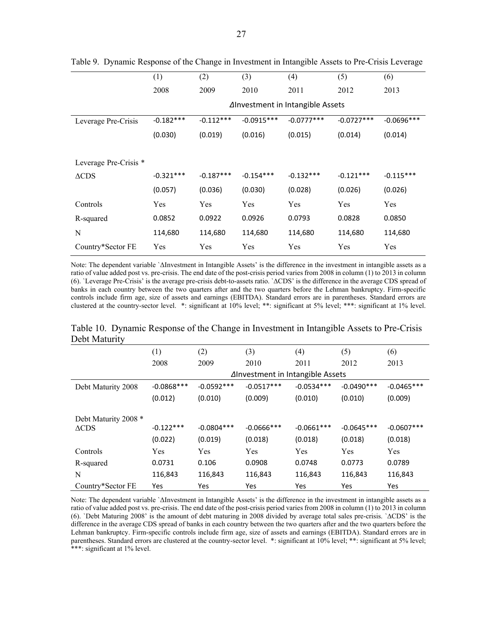|                       | (1)         | (2)         | (3)          | (4)                              | (5)          | (6)          |
|-----------------------|-------------|-------------|--------------|----------------------------------|--------------|--------------|
|                       | 2008        | 2009        | 2010         | 2011                             | 2012         | 2013         |
|                       |             |             |              | ∆Investment in Intangible Assets |              |              |
| Leverage Pre-Crisis   | $-0.182***$ | $-0.112***$ | $-0.0915***$ | $-0.0777***$                     | $-0.0727***$ | $-0.0696***$ |
|                       | (0.030)     | (0.019)     | (0.016)      | (0.015)                          | (0.014)      | (0.014)      |
|                       |             |             |              |                                  |              |              |
| Leverage Pre-Crisis * |             |             |              |                                  |              |              |
| $\triangle$ CDS       | $-0.321***$ | $-0.187***$ | $-0.154***$  | $-0.132***$                      | $-0.121***$  | $-0.115***$  |
|                       | (0.057)     | (0.036)     | (0.030)      | (0.028)                          | (0.026)      | (0.026)      |
| Controls              | Yes         | Yes         | Yes          | Yes                              | Yes          | Yes          |
| R-squared             | 0.0852      | 0.0922      | 0.0926       | 0.0793                           | 0.0828       | 0.0850       |
| N                     | 114,680     | 114,680     | 114,680      | 114,680                          | 114,680      | 114,680      |
| Country*Sector FE     | Yes         | Yes         | Yes          | Yes                              | Yes          | Yes          |

Table 9. Dynamic Response of the Change in Investment in Intangible Assets to Pre-Crisis Leverage

Note: The dependent variable `ΔInvestment in Intangible Assets' is the difference in the investment in intangible assets as a ratio of value added post vs. pre-crisis. The end date of the post-crisis period varies from 2008 in column (1) to 2013 in column (6). `Leverage Pre-Crisis' is the average pre-crisis debt-to-assets ratio. `∆CDS' is the difference in the average CDS spread of banks in each country between the two quarters after and the two quarters before the Lehman bankruptcy. Firm-specific controls include firm age, size of assets and earnings (EBITDA). Standard errors are in parentheses. Standard errors are clustered at the country-sector level. \*: significant at 10% level; \*\*: significant at 5% level; \*\*\*: significant at 1% level.

Table 10. Dynamic Response of the Change in Investment in Intangible Assets to Pre-Crisis Debt Maturity

|                                         | (1)          | (2)                              | (3)           | (4)          | (5)          | (6)          |
|-----------------------------------------|--------------|----------------------------------|---------------|--------------|--------------|--------------|
|                                         | 2008         | 2009                             | 2010          | 2011         | 2012         | 2013         |
|                                         |              | ∆Investment in Intangible Assets |               |              |              |              |
| Debt Maturity 2008                      | $-0.0868***$ | $-0.0592***$                     | $-0.0517***$  | $-0.0534***$ | $-0.0490***$ | $-0.0465***$ |
|                                         | (0.012)      | (0.010)                          | (0.009)       | (0.010)      | (0.010)      | (0.009)      |
| Debt Maturity 2008 *<br>$\triangle$ CDS | $-0.122***$  | $-0.0804***$                     | $-0.0666$ *** | $-0.0661***$ | $-0.0645***$ | $-0.0607***$ |
|                                         | (0.022)      | (0.019)                          | (0.018)       | (0.018)      | (0.018)      | (0.018)      |
| Controls                                | Yes          | Yes                              | Yes           | Yes          | Yes          | Yes          |
| R-squared                               | 0.0731       | 0.106                            | 0.0908        | 0.0748       | 0.0773       | 0.0789       |
| N                                       | 116,843      | 116,843                          | 116,843       | 116,843      | 116,843      | 116,843      |
| Country*Sector FE                       | Yes          | Yes                              | Yes           | Yes          | Yes          | Yes          |

Note: The dependent variable `ΔInvestment in Intangible Assets' is the difference in the investment in intangible assets as a ratio of value added post vs. pre-crisis. The end date of the post-crisis period varies from 2008 in column (1) to 2013 in column (6). `Debt Maturing 2008' is the amount of debt maturing in 2008 divided by average total sales pre-crisis. `∆CDS' is the difference in the average CDS spread of banks in each country between the two quarters after and the two quarters before the Lehman bankruptcy. Firm-specific controls include firm age, size of assets and earnings (EBITDA). Standard errors are in parentheses. Standard errors are clustered at the country-sector level. \*: significant at 10% level; \*\*: significant at 5% level; \*\*\*: significant at 1% level.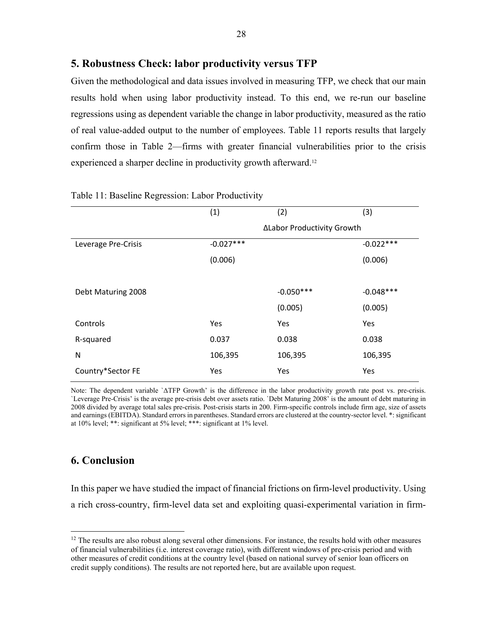#### **5. Robustness Check: labor productivity versus TFP**

Given the methodological and data issues involved in measuring TFP, we check that our main results hold when using labor productivity instead. To this end, we re-run our baseline regressions using as dependent variable the change in labor productivity, measured as the ratio of real value-added output to the number of employees. Table 11 reports results that largely confirm those in Table 2—firms with greater financial vulnerabilities prior to the crisis experienced a sharper decline in productivity growth afterward.<sup>12</sup>

|                     | (1)         | (2)                        | (3)         |  |  |
|---------------------|-------------|----------------------------|-------------|--|--|
|                     |             | ΔLabor Productivity Growth |             |  |  |
| Leverage Pre-Crisis | $-0.027***$ |                            | $-0.022***$ |  |  |
|                     | (0.006)     |                            | (0.006)     |  |  |
|                     |             |                            |             |  |  |
| Debt Maturing 2008  |             | $-0.050***$                | $-0.048***$ |  |  |
|                     |             | (0.005)                    | (0.005)     |  |  |
| Controls            | Yes         | Yes                        | Yes         |  |  |
| R-squared           | 0.037       | 0.038                      | 0.038       |  |  |
| N                   | 106,395     | 106,395                    | 106,395     |  |  |
| Country*Sector FE   | Yes         | Yes                        | Yes         |  |  |

#### Table 11: Baseline Regression: Labor Productivity

Note: The dependent variable `ΔTFP Growth' is the difference in the labor productivity growth rate post vs. pre-crisis. `Leverage Pre-Crisis' is the average pre-crisis debt over assets ratio. `Debt Maturing 2008' is the amount of debt maturing in 2008 divided by average total sales pre-crisis. Post-crisis starts in 200. Firm-specific controls include firm age, size of assets and earnings (EBITDA). Standard errors in parentheses. Standard errors are clustered at the country-sector level. \*: significant at 10% level; \*\*: significant at 5% level; \*\*\*: significant at 1% level.

### **6. Conclusion**

 $\overline{a}$ 

In this paper we have studied the impact of financial frictions on firm-level productivity. Using a rich cross-country, firm-level data set and exploiting quasi-experimental variation in firm-

 $12$  The results are also robust along several other dimensions. For instance, the results hold with other measures of financial vulnerabilities (i.e. interest coverage ratio), with different windows of pre-crisis period and with other measures of credit conditions at the country level (based on national survey of senior loan officers on credit supply conditions). The results are not reported here, but are available upon request.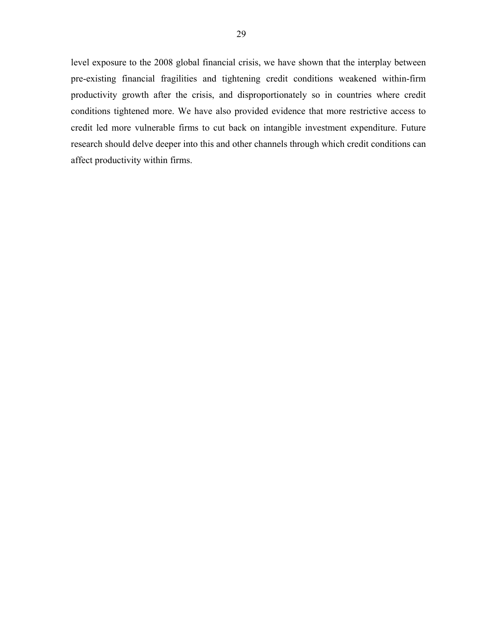level exposure to the 2008 global financial crisis, we have shown that the interplay between pre-existing financial fragilities and tightening credit conditions weakened within-firm productivity growth after the crisis, and disproportionately so in countries where credit conditions tightened more. We have also provided evidence that more restrictive access to credit led more vulnerable firms to cut back on intangible investment expenditure. Future research should delve deeper into this and other channels through which credit conditions can affect productivity within firms.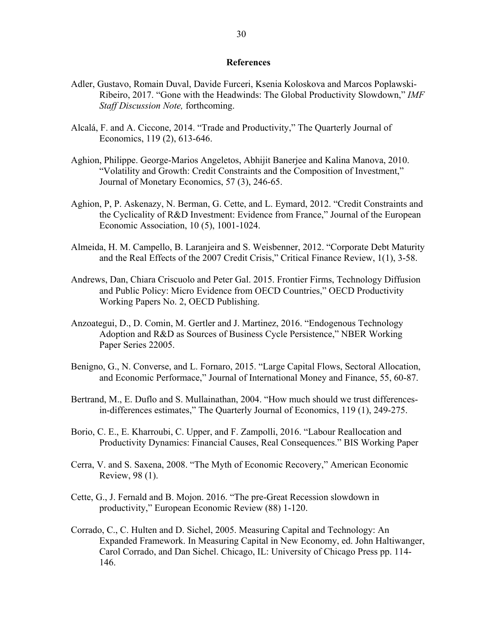#### **References**

- Adler, Gustavo, Romain Duval, Davide Furceri, Ksenia Koloskova and Marcos Poplawski-Ribeiro, 2017. "Gone with the Headwinds: The Global Productivity Slowdown," *IMF Staff Discussion Note,* forthcoming.
- Alcalá, F. and A. Ciccone, 2014. "Trade and Productivity," The Quarterly Journal of Economics, 119 (2), 613-646.
- Aghion, Philippe. George-Marios Angeletos, Abhijit Banerjee and Kalina Manova, 2010. "Volatility and Growth: Credit Constraints and the Composition of Investment," Journal of Monetary Economics, 57 (3), 246-65.
- Aghion, P, P. Askenazy, N. Berman, G. Cette, and L. Eymard, 2012. "Credit Constraints and the Cyclicality of R&D Investment: Evidence from France," Journal of the European Economic Association, 10 (5), 1001-1024.
- Almeida, H. M. Campello, B. Laranjeira and S. Weisbenner, 2012. "Corporate Debt Maturity and the Real Effects of the 2007 Credit Crisis," Critical Finance Review, 1(1), 3-58.
- Andrews, Dan, Chiara Criscuolo and Peter Gal. 2015. Frontier Firms, Technology Diffusion and Public Policy: Micro Evidence from OECD Countries," OECD Productivity Working Papers No. 2, OECD Publishing.
- Anzoategui, D., D. Comin, M. Gertler and J. Martinez, 2016. "Endogenous Technology Adoption and R&D as Sources of Business Cycle Persistence," NBER Working Paper Series 22005.
- Benigno, G., N. Converse, and L. Fornaro, 2015. "Large Capital Flows, Sectoral Allocation, and Economic Performace," Journal of International Money and Finance, 55, 60-87.
- Bertrand, M., E. Duflo and S. Mullainathan, 2004. "How much should we trust differencesin-differences estimates," The Quarterly Journal of Economics, 119 (1), 249-275.
- Borio, C. E., E. Kharroubi, C. Upper, and F. Zampolli, 2016. "Labour Reallocation and Productivity Dynamics: Financial Causes, Real Consequences." BIS Working Paper
- Cerra, V. and S. Saxena, 2008. "The Myth of Economic Recovery," American Economic Review, 98 (1).
- Cette, G., J. Fernald and B. Mojon. 2016. "The pre-Great Recession slowdown in productivity," European Economic Review (88) 1-120.
- Corrado, C., C. Hulten and D. Sichel, 2005. Measuring Capital and Technology: An Expanded Framework. In Measuring Capital in New Economy, ed. John Haltiwanger, Carol Corrado, and Dan Sichel. Chicago, IL: University of Chicago Press pp. 114- 146.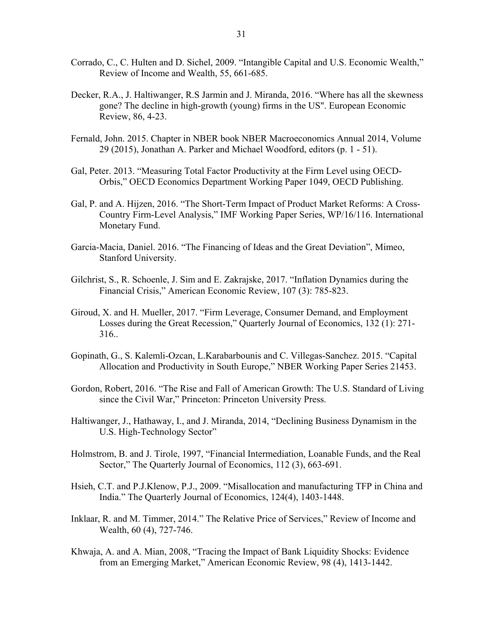- Corrado, C., C. Hulten and D. Sichel, 2009. "Intangible Capital and U.S. Economic Wealth," Review of Income and Wealth, 55, 661-685.
- Decker, R.A., J. Haltiwanger, R.S Jarmin and J. Miranda, 2016. "Where has all the skewness gone? The decline in high-growth (young) firms in the US". European Economic Review, 86, 4-23.
- Fernald, John. 2015. Chapter in NBER book NBER Macroeconomics Annual 2014, Volume 29 (2015), Jonathan A. Parker and Michael Woodford, editors (p. 1 - 51).
- Gal, Peter. 2013. "Measuring Total Factor Productivity at the Firm Level using OECD-Orbis," OECD Economics Department Working Paper 1049, OECD Publishing.
- Gal, P. and A. Hijzen, 2016. "The Short-Term Impact of Product Market Reforms: A Cross-Country Firm-Level Analysis," IMF Working Paper Series, WP/16/116. International Monetary Fund.
- Garcia-Macia, Daniel. 2016. "The Financing of Ideas and the Great Deviation", Mimeo, Stanford University.
- Gilchrist, S., R. Schoenle, J. Sim and E. Zakrajske, 2017. "Inflation Dynamics during the Financial Crisis," American Economic Review, 107 (3): 785-823.
- Giroud, X. and H. Mueller, 2017. "Firm Leverage, Consumer Demand, and Employment Losses during the Great Recession," Quarterly Journal of Economics, 132 (1): 271- 316..
- Gopinath, G., S. Kalemli-Ozcan, L.Karabarbounis and C. Villegas-Sanchez. 2015. "Capital Allocation and Productivity in South Europe," NBER Working Paper Series 21453.
- Gordon, Robert, 2016. "The Rise and Fall of American Growth: The U.S. Standard of Living since the Civil War," Princeton: Princeton University Press.
- Haltiwanger, J., Hathaway, I., and J. Miranda, 2014, "Declining Business Dynamism in the U.S. High-Technology Sector"
- Holmstrom, B. and J. Tirole, 1997, "Financial Intermediation, Loanable Funds, and the Real Sector," The Quarterly Journal of Economics, 112 (3), 663-691.
- Hsieh, C.T. and P.J.Klenow, P.J., 2009. "Misallocation and manufacturing TFP in China and India." The Quarterly Journal of Economics, 124(4), 1403-1448.
- Inklaar, R. and M. Timmer, 2014." The Relative Price of Services," Review of Income and Wealth, 60 (4), 727-746.
- Khwaja, A. and A. Mian, 2008, "Tracing the Impact of Bank Liquidity Shocks: Evidence from an Emerging Market," American Economic Review, 98 (4), 1413-1442.